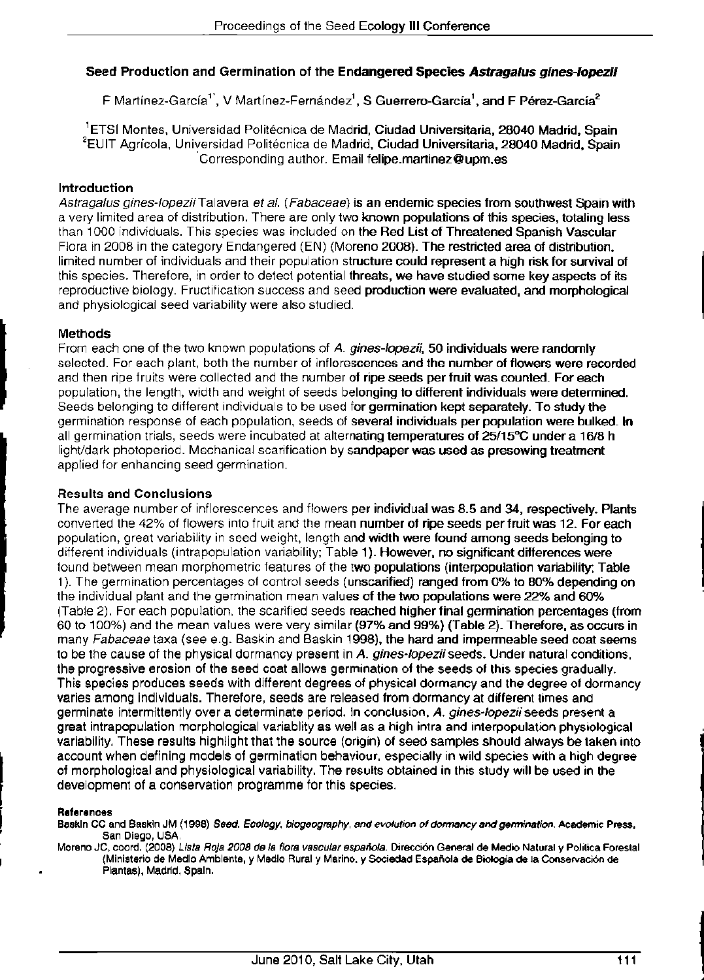# **Seed Production and Germination of the Endangered Species Astragalus gines-lopezii**

F Martínez-García<sup>1'</sup>, V Martínez-Fernández<sup>1</sup>, S Guerrero-García<sup>1</sup>, and F Pérez-García<sup>2</sup>

<sup>1</sup>ETSI Montes, Universidad Politécnica de Madrid, Ciudad Universitaria, 28040 Madrid, Spain <sup>2</sup>EUIT Agrícola, Universidad Politécnica de Madrid, Ciudad Universitaria, 28040 Madrid, Spain Corresponding author. Email felipe.martinez@upm.es

#### **Introduction**

Astragalus gines-lopezii Talavera et al. (Fabaceae) is an endemic species from southwest Spain with a very limited area of distribution. There are only two known populations of this species, totaling less than 1000 individuals. This species was included on the Red List of Threatened Spanish Vascular Flora in 2008 in the category Endangered (EN) (Moreno 2008). The restricted area of distribution, limited number of individuals and their population structure could represent a high risk for survival of this species. Therefore, in order to detect potential threats, we have studied some key aspects of its reproductive biology. Fructification success and seed production were evaluated, and morphological and physiological seed variability were also studied.

## **Methods**

From each one of the two known populations of A. gines-lopezii, 50 individuals were randomly selected. For each plant, both the number of inflorescences and the number of flowers were recorded and then ripe fruits were collected and the number of ripe seeds per fruit was counted. For each population, the length, width and weight of seeds belonging to different individuals were determined, Seeds belonging to different individuals to be used for germination kept separately. To study the germination response of each population, seeds of several individuals per population were bulked. In all germination trials, seeds were incubated at alternating temperatures of 25/15°C under a 16/8 h light/dark photoperiod. Mechanical scarification by sandpaper was used as presowing treatment applied for enhancing seed germination.

## **Results and Conclusions**

The average number of inflorescences and flowers per individual was 8.5 and 34, respectively. Plants converted the 42% of fiowers into fruit and the mean number of ripe seeds per fruit was 12. For each population, great variability in seed weight, length and width were found among seeds belonging to different individuals (intrapopulation variability; Table 1). However, no significant differences were found between mean morphometric features of the two populations (interpopulation variability; Table 1). The germination percentages of control seeds (unscarified) ranged from 0% to 80% depending on the individual plant and the germination mean values of the two populations were 22% and 60% (Table 2). For each population, the scarified seeds reached higher final germination percentages (from 60 to 100%) and the mean values were very similar (97% and 99%) (Table 2). Therefore, as occurs in many Fabaceae taxa (see e.g. Baskin and Baskin 1998), the hard and impermeable seed coat seems to be the cause of the physical dormancy present in A. gines-lopezii seeds. Under natural conditions, the progressive erosion of the seed coat allows germination of the seeds of this species gradually. This species produces seeds with different degrees of physical dormancy and the degree of dormancy varies among individuals. Therefore, seeds are released from dormancy at different times and germinate intermittently over a determinate period, in conclusion, A. gines-lopezii seeds present a great intrapopulation morphological variablity as well as a high intra and interpopulation physiological variability. These results highlight that the source (origin) of seed samples should always be taken into account when defining models of germination behaviour, especially in wild species with a high degree of morphological and physiological variability. The results obtained in this study will be used in the development of a conservation programme for this species.

#### References

Baskin CC and Baskin JM (1998) Seed. Ecology, biogeography, and evolution of dormancy and germination. Academic Press, San Diego, USA,

Moreno JC, coord. (2008) Lista Roja 2008 de la flora vascular española. Dirección General de Medio Natural y Política Forestal {Ministerio de Medio Ambiente, y Medio Rural y Marino, y Sociedad Española de Biología de la Conservación de Plantas), Madrid, Spain.